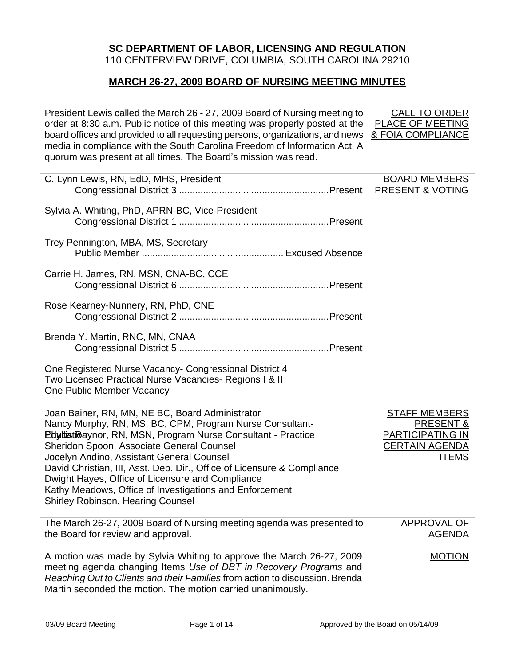## **SC DEPARTMENT OF LABOR, LICENSING AND REGULATION**

110 CENTERVIEW DRIVE, COLUMBIA, SOUTH CAROLINA 29210

## **MARCH 26-27, 2009 BOARD OF NURSING MEETING MINUTES**

| President Lewis called the March 26 - 27, 2009 Board of Nursing meeting to<br>order at 8:30 a.m. Public notice of this meeting was properly posted at the<br>board offices and provided to all requesting persons, organizations, and news<br>media in compliance with the South Carolina Freedom of Information Act. A<br>quorum was present at all times. The Board's mission was read.                                                                                                                          | <b>CALL TO ORDER</b><br>PLACE OF MEETING<br>& FOIA COMPLIANCE                                             |
|--------------------------------------------------------------------------------------------------------------------------------------------------------------------------------------------------------------------------------------------------------------------------------------------------------------------------------------------------------------------------------------------------------------------------------------------------------------------------------------------------------------------|-----------------------------------------------------------------------------------------------------------|
| C. Lynn Lewis, RN, EdD, MHS, President                                                                                                                                                                                                                                                                                                                                                                                                                                                                             | <b>BOARD MEMBERS</b><br><b>PRESENT &amp; VOTING</b>                                                       |
| Sylvia A. Whiting, PhD, APRN-BC, Vice-President                                                                                                                                                                                                                                                                                                                                                                                                                                                                    |                                                                                                           |
| Trey Pennington, MBA, MS, Secretary                                                                                                                                                                                                                                                                                                                                                                                                                                                                                |                                                                                                           |
| Carrie H. James, RN, MSN, CNA-BC, CCE                                                                                                                                                                                                                                                                                                                                                                                                                                                                              |                                                                                                           |
| Rose Kearney-Nunnery, RN, PhD, CNE                                                                                                                                                                                                                                                                                                                                                                                                                                                                                 |                                                                                                           |
| Brenda Y. Martin, RNC, MN, CNAA                                                                                                                                                                                                                                                                                                                                                                                                                                                                                    |                                                                                                           |
| One Registered Nurse Vacancy- Congressional District 4<br>Two Licensed Practical Nurse Vacancies- Regions I & II<br>One Public Member Vacancy                                                                                                                                                                                                                                                                                                                                                                      |                                                                                                           |
| Joan Bainer, RN, MN, NE BC, Board Administrator<br>Nancy Murphy, RN, MS, BC, CPM, Program Nurse Consultant-<br><b>PhyltistReynor, RN, MSN, Program Nurse Consultant - Practice</b><br>Sheridon Spoon, Associate General Counsel<br>Jocelyn Andino, Assistant General Counsel<br>David Christian, III, Asst. Dep. Dir., Office of Licensure & Compliance<br>Dwight Hayes, Office of Licensure and Compliance<br>Kathy Meadows, Office of Investigations and Enforcement<br><b>Shirley Robinson, Hearing Counsel</b> | <b>STAFF MEMBERS</b><br><b>PRESENT &amp;</b><br>PARTICIPATING IN<br><b>CERTAIN AGENDA</b><br><b>ITEMS</b> |
| The March 26-27, 2009 Board of Nursing meeting agenda was presented to<br>the Board for review and approval.                                                                                                                                                                                                                                                                                                                                                                                                       | APPROVAL OF<br><u>AGENDA</u>                                                                              |
| A motion was made by Sylvia Whiting to approve the March 26-27, 2009<br>meeting agenda changing Items Use of DBT in Recovery Programs and<br>Reaching Out to Clients and their Families from action to discussion. Brenda<br>Martin seconded the motion. The motion carried unanimously.                                                                                                                                                                                                                           | <b>MOTION</b>                                                                                             |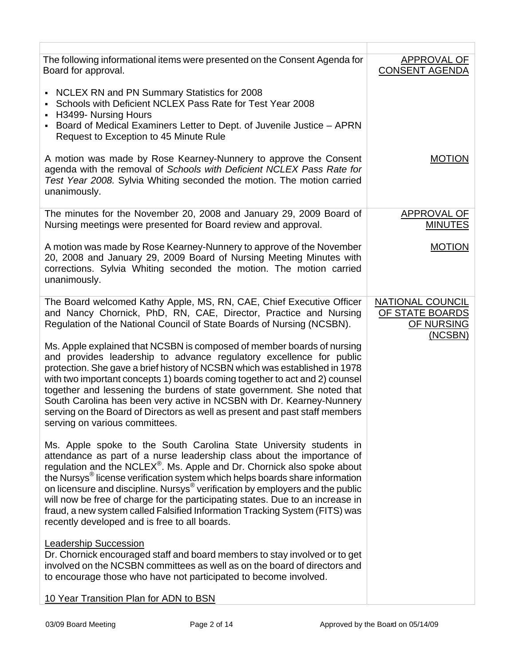| The following informational items were presented on the Consent Agenda for<br>Board for approval.                                                                                                                                                                                                                                                                                                                                                                                                                                                                                                                                              | APPROVAL OF<br><b>CONSENT AGENDA</b>                                |
|------------------------------------------------------------------------------------------------------------------------------------------------------------------------------------------------------------------------------------------------------------------------------------------------------------------------------------------------------------------------------------------------------------------------------------------------------------------------------------------------------------------------------------------------------------------------------------------------------------------------------------------------|---------------------------------------------------------------------|
| NCLEX RN and PN Summary Statistics for 2008<br>Schools with Deficient NCLEX Pass Rate for Test Year 2008<br>H3499- Nursing Hours<br>$\blacksquare$                                                                                                                                                                                                                                                                                                                                                                                                                                                                                             |                                                                     |
| Board of Medical Examiners Letter to Dept. of Juvenile Justice - APRN<br>$\blacksquare$<br>Request to Exception to 45 Minute Rule                                                                                                                                                                                                                                                                                                                                                                                                                                                                                                              |                                                                     |
| A motion was made by Rose Kearney-Nunnery to approve the Consent<br>agenda with the removal of Schools with Deficient NCLEX Pass Rate for<br>Test Year 2008. Sylvia Whiting seconded the motion. The motion carried<br>unanimously.                                                                                                                                                                                                                                                                                                                                                                                                            | <b>MOTION</b>                                                       |
| The minutes for the November 20, 2008 and January 29, 2009 Board of<br>Nursing meetings were presented for Board review and approval.                                                                                                                                                                                                                                                                                                                                                                                                                                                                                                          | APPROVAL OF<br><b>MINUTES</b>                                       |
| A motion was made by Rose Kearney-Nunnery to approve of the November<br>20, 2008 and January 29, 2009 Board of Nursing Meeting Minutes with<br>corrections. Sylvia Whiting seconded the motion. The motion carried<br>unanimously.                                                                                                                                                                                                                                                                                                                                                                                                             | <b>MOTION</b>                                                       |
| The Board welcomed Kathy Apple, MS, RN, CAE, Chief Executive Officer<br>and Nancy Chornick, PhD, RN, CAE, Director, Practice and Nursing<br>Regulation of the National Council of State Boards of Nursing (NCSBN).                                                                                                                                                                                                                                                                                                                                                                                                                             | <b>NATIONAL COUNCIL</b><br>OF STATE BOARDS<br>OF NURSING<br>(NCSBN) |
| Ms. Apple explained that NCSBN is composed of member boards of nursing<br>and provides leadership to advance regulatory excellence for public<br>protection. She gave a brief history of NCSBN which was established in 1978<br>with two important concepts 1) boards coming together to act and 2) counsel<br>together and lessening the burdens of state government. She noted that<br>South Carolina has been very active in NCSBN with Dr. Kearney-Nunnery<br>serving on the Board of Directors as well as present and past staff members<br>serving on various committees.                                                                |                                                                     |
| Ms. Apple spoke to the South Carolina State University students in<br>attendance as part of a nurse leadership class about the importance of<br>regulation and the NCLEX <sup>®</sup> . Ms. Apple and Dr. Chornick also spoke about<br>the Nursys <sup>®</sup> license verification system which helps boards share information<br>on licensure and discipline. Nursys <sup>®</sup> verification by employers and the public<br>will now be free of charge for the participating states. Due to an increase in<br>fraud, a new system called Falsified Information Tracking System (FITS) was<br>recently developed and is free to all boards. |                                                                     |
| <b>Leadership Succession</b><br>Dr. Chornick encouraged staff and board members to stay involved or to get<br>involved on the NCSBN committees as well as on the board of directors and<br>to encourage those who have not participated to become involved.                                                                                                                                                                                                                                                                                                                                                                                    |                                                                     |
| 10 Year Transition Plan for ADN to BSN                                                                                                                                                                                                                                                                                                                                                                                                                                                                                                                                                                                                         |                                                                     |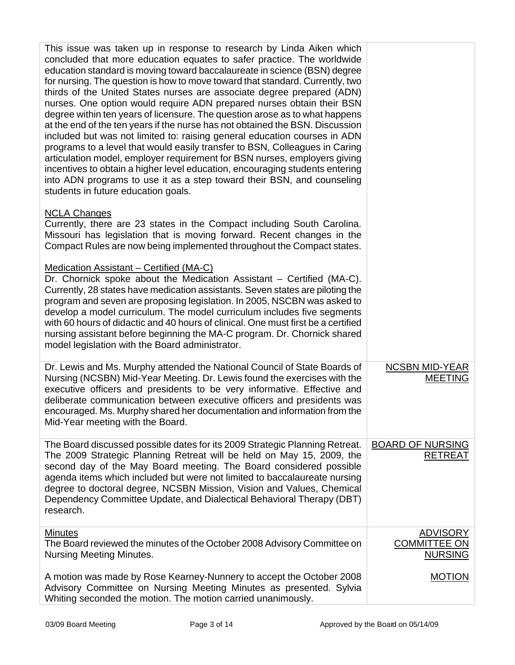| This issue was taken up in response to research by Linda Aiken which<br>concluded that more education equates to safer practice. The worldwide<br>education standard is moving toward baccalaureate in science (BSN) degree<br>for nursing. The question is how to move toward that standard. Currently, two<br>thirds of the United States nurses are associate degree prepared (ADN)<br>nurses. One option would require ADN prepared nurses obtain their BSN<br>degree within ten years of licensure. The question arose as to what happens<br>at the end of the ten years if the nurse has not obtained the BSN. Discussion<br>included but was not limited to: raising general education courses in ADN<br>programs to a level that would easily transfer to BSN, Colleagues in Caring<br>articulation model, employer requirement for BSN nurses, employers giving<br>incentives to obtain a higher level education, encouraging students entering<br>into ADN programs to use it as a step toward their BSN, and counseling<br>students in future education goals. |                                           |
|---------------------------------------------------------------------------------------------------------------------------------------------------------------------------------------------------------------------------------------------------------------------------------------------------------------------------------------------------------------------------------------------------------------------------------------------------------------------------------------------------------------------------------------------------------------------------------------------------------------------------------------------------------------------------------------------------------------------------------------------------------------------------------------------------------------------------------------------------------------------------------------------------------------------------------------------------------------------------------------------------------------------------------------------------------------------------|-------------------------------------------|
| <b>NCLA Changes</b><br>Currently, there are 23 states in the Compact including South Carolina.<br>Missouri has legislation that is moving forward. Recent changes in the<br>Compact Rules are now being implemented throughout the Compact states.                                                                                                                                                                                                                                                                                                                                                                                                                                                                                                                                                                                                                                                                                                                                                                                                                        |                                           |
| <u> Medication Assistant – Certified (MA-C)</u><br>Dr. Chornick spoke about the Medication Assistant - Certified (MA-C).<br>Currently, 28 states have medication assistants. Seven states are piloting the<br>program and seven are proposing legislation. In 2005, NSCBN was asked to<br>develop a model curriculum. The model curriculum includes five segments<br>with 60 hours of didactic and 40 hours of clinical. One must first be a certified<br>nursing assistant before beginning the MA-C program. Dr. Chornick shared<br>model legislation with the Board administrator.                                                                                                                                                                                                                                                                                                                                                                                                                                                                                     |                                           |
| Dr. Lewis and Ms. Murphy attended the National Council of State Boards of<br>Nursing (NCSBN) Mid-Year Meeting. Dr. Lewis found the exercises with the<br>executive officers and presidents to be very informative. Effective and<br>deliberate communication between executive officers and presidents was<br>encouraged. Ms. Murphy shared her documentation and information from the<br>Mid-Year meeting with the Board.                                                                                                                                                                                                                                                                                                                                                                                                                                                                                                                                                                                                                                                | <b>NCSBN MID-YEAR</b><br><b>MEETING</b>   |
| The Board discussed possible dates for its 2009 Strategic Planning Retreat.<br>The 2009 Strategic Planning Retreat will be held on May 15, 2009, the<br>second day of the May Board meeting. The Board considered possible<br>agenda items which included but were not limited to baccalaureate nursing<br>degree to doctoral degree, NCSBN Mission, Vision and Values, Chemical<br>Dependency Committee Update, and Dialectical Behavioral Therapy (DBT)<br>research.                                                                                                                                                                                                                                                                                                                                                                                                                                                                                                                                                                                                    | <b>BOARD OF NURSING</b><br><b>RETREAT</b> |
| <b>Minutes</b><br>The Board reviewed the minutes of the October 2008 Advisory Committee on                                                                                                                                                                                                                                                                                                                                                                                                                                                                                                                                                                                                                                                                                                                                                                                                                                                                                                                                                                                | <b>ADVISORY</b><br><b>COMMITTEE ON</b>    |
| <b>Nursing Meeting Minutes.</b><br>A motion was made by Rose Kearney-Nunnery to accept the October 2008                                                                                                                                                                                                                                                                                                                                                                                                                                                                                                                                                                                                                                                                                                                                                                                                                                                                                                                                                                   | <b>NURSING</b><br><b>MOTION</b>           |
| Advisory Committee on Nursing Meeting Minutes as presented. Sylvia<br>Whiting seconded the motion. The motion carried unanimously.                                                                                                                                                                                                                                                                                                                                                                                                                                                                                                                                                                                                                                                                                                                                                                                                                                                                                                                                        |                                           |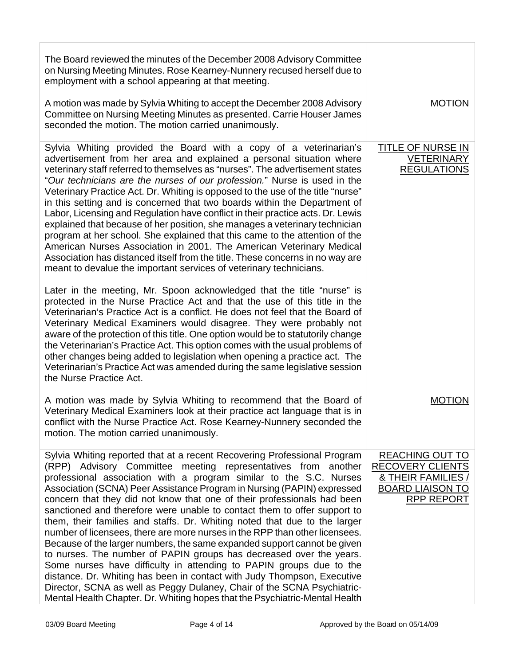| The Board reviewed the minutes of the December 2008 Advisory Committee<br>on Nursing Meeting Minutes. Rose Kearney-Nunnery recused herself due to<br>employment with a school appearing at that meeting.                                                                                                                                                                                                                                                                                                                                                                                                                                                                                                                                                                                                                                                                                                                                                                                                                                                                     |                                                                                                                         |
|------------------------------------------------------------------------------------------------------------------------------------------------------------------------------------------------------------------------------------------------------------------------------------------------------------------------------------------------------------------------------------------------------------------------------------------------------------------------------------------------------------------------------------------------------------------------------------------------------------------------------------------------------------------------------------------------------------------------------------------------------------------------------------------------------------------------------------------------------------------------------------------------------------------------------------------------------------------------------------------------------------------------------------------------------------------------------|-------------------------------------------------------------------------------------------------------------------------|
| A motion was made by Sylvia Whiting to accept the December 2008 Advisory<br>Committee on Nursing Meeting Minutes as presented. Carrie Houser James<br>seconded the motion. The motion carried unanimously.                                                                                                                                                                                                                                                                                                                                                                                                                                                                                                                                                                                                                                                                                                                                                                                                                                                                   | <b>MOTION</b>                                                                                                           |
| Sylvia Whiting provided the Board with a copy of a veterinarian's<br>advertisement from her area and explained a personal situation where<br>veterinary staff referred to themselves as "nurses". The advertisement states<br>"Our technicians are the nurses of our profession." Nurse is used in the<br>Veterinary Practice Act. Dr. Whiting is opposed to the use of the title "nurse"<br>in this setting and is concerned that two boards within the Department of<br>Labor, Licensing and Regulation have conflict in their practice acts. Dr. Lewis<br>explained that because of her position, she manages a veterinary technician<br>program at her school. She explained that this came to the attention of the<br>American Nurses Association in 2001. The American Veterinary Medical<br>Association has distanced itself from the title. These concerns in no way are<br>meant to devalue the important services of veterinary technicians.                                                                                                                       | TITLE OF NURSE IN<br><b>VETERINARY</b><br><b>REGULATIONS</b>                                                            |
| Later in the meeting, Mr. Spoon acknowledged that the title "nurse" is<br>protected in the Nurse Practice Act and that the use of this title in the<br>Veterinarian's Practice Act is a conflict. He does not feel that the Board of<br>Veterinary Medical Examiners would disagree. They were probably not<br>aware of the protection of this title. One option would be to statutorily change<br>the Veterinarian's Practice Act. This option comes with the usual problems of<br>other changes being added to legislation when opening a practice act. The<br>Veterinarian's Practice Act was amended during the same legislative session<br>the Nurse Practice Act.                                                                                                                                                                                                                                                                                                                                                                                                      |                                                                                                                         |
| A motion was made by Sylvia Whiting to recommend that the Board of<br>Veterinary Medical Examiners look at their practice act language that is in<br>conflict with the Nurse Practice Act. Rose Kearney-Nunnery seconded the<br>motion. The motion carried unanimously.                                                                                                                                                                                                                                                                                                                                                                                                                                                                                                                                                                                                                                                                                                                                                                                                      | <b>MOTION</b>                                                                                                           |
| Sylvia Whiting reported that at a recent Recovering Professional Program<br>(RPP) Advisory Committee meeting representatives from another<br>professional association with a program similar to the S.C. Nurses<br>Association (SCNA) Peer Assistance Program in Nursing (PAPIN) expressed<br>concern that they did not know that one of their professionals had been<br>sanctioned and therefore were unable to contact them to offer support to<br>them, their families and staffs. Dr. Whiting noted that due to the larger<br>number of licensees, there are more nurses in the RPP than other licensees.<br>Because of the larger numbers, the same expanded support cannot be given<br>to nurses. The number of PAPIN groups has decreased over the years.<br>Some nurses have difficulty in attending to PAPIN groups due to the<br>distance. Dr. Whiting has been in contact with Judy Thompson, Executive<br>Director, SCNA as well as Peggy Dulaney, Chair of the SCNA Psychiatric-<br>Mental Health Chapter. Dr. Whiting hopes that the Psychiatric-Mental Health | <b>REACHING OUT TO</b><br><b>RECOVERY CLIENTS</b><br>& THEIR FAMILIES /<br><b>BOARD LIAISON TO</b><br><b>RPP REPORT</b> |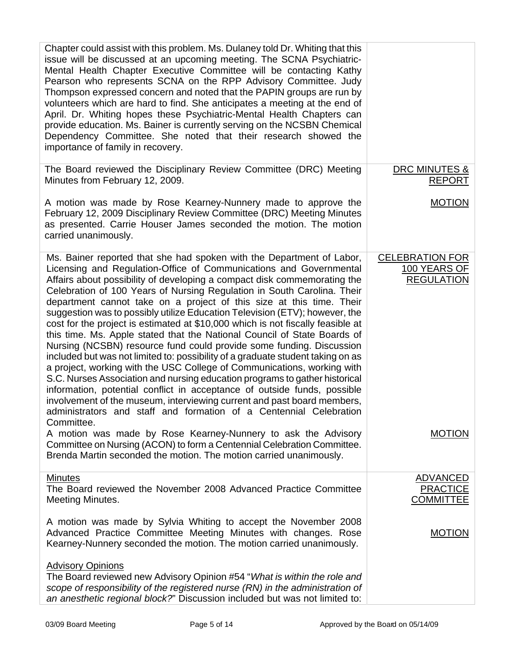| Chapter could assist with this problem. Ms. Dulaney told Dr. Whiting that this<br>issue will be discussed at an upcoming meeting. The SCNA Psychiatric-<br>Mental Health Chapter Executive Committee will be contacting Kathy<br>Pearson who represents SCNA on the RPP Advisory Committee. Judy<br>Thompson expressed concern and noted that the PAPIN groups are run by<br>volunteers which are hard to find. She anticipates a meeting at the end of<br>April. Dr. Whiting hopes these Psychiatric-Mental Health Chapters can<br>provide education. Ms. Bainer is currently serving on the NCSBN Chemical<br>Dependency Committee. She noted that their research showed the<br>importance of family in recovery.                                                                                                                                                                                                                                                                                                                                                                                                                                                                      |                                                             |
|------------------------------------------------------------------------------------------------------------------------------------------------------------------------------------------------------------------------------------------------------------------------------------------------------------------------------------------------------------------------------------------------------------------------------------------------------------------------------------------------------------------------------------------------------------------------------------------------------------------------------------------------------------------------------------------------------------------------------------------------------------------------------------------------------------------------------------------------------------------------------------------------------------------------------------------------------------------------------------------------------------------------------------------------------------------------------------------------------------------------------------------------------------------------------------------|-------------------------------------------------------------|
| The Board reviewed the Disciplinary Review Committee (DRC) Meeting<br>Minutes from February 12, 2009.                                                                                                                                                                                                                                                                                                                                                                                                                                                                                                                                                                                                                                                                                                                                                                                                                                                                                                                                                                                                                                                                                    | DRC MINUTES &<br><b>REPORT</b>                              |
| A motion was made by Rose Kearney-Nunnery made to approve the<br>February 12, 2009 Disciplinary Review Committee (DRC) Meeting Minutes<br>as presented. Carrie Houser James seconded the motion. The motion<br>carried unanimously.                                                                                                                                                                                                                                                                                                                                                                                                                                                                                                                                                                                                                                                                                                                                                                                                                                                                                                                                                      | <b>MOTION</b>                                               |
| Ms. Bainer reported that she had spoken with the Department of Labor,<br>Licensing and Regulation-Office of Communications and Governmental<br>Affairs about possibility of developing a compact disk commemorating the<br>Celebration of 100 Years of Nursing Regulation in South Carolina. Their<br>department cannot take on a project of this size at this time. Their<br>suggestion was to possibly utilize Education Television (ETV); however, the<br>cost for the project is estimated at \$10,000 which is not fiscally feasible at<br>this time. Ms. Apple stated that the National Council of State Boards of<br>Nursing (NCSBN) resource fund could provide some funding. Discussion<br>included but was not limited to: possibility of a graduate student taking on as<br>a project, working with the USC College of Communications, working with<br>S.C. Nurses Association and nursing education programs to gather historical<br>information, potential conflict in acceptance of outside funds, possible<br>involvement of the museum, interviewing current and past board members,<br>administrators and staff and formation of a Centennial Celebration<br>Committee. | <b>CELEBRATION FOR</b><br>100 YEARS OF<br><b>REGULATION</b> |
| A motion was made by Rose Kearney-Nunnery to ask the Advisory<br>Committee on Nursing (ACON) to form a Centennial Celebration Committee.<br>Brenda Martin seconded the motion. The motion carried unanimously.                                                                                                                                                                                                                                                                                                                                                                                                                                                                                                                                                                                                                                                                                                                                                                                                                                                                                                                                                                           | <b>MOTION</b>                                               |
| <b>Minutes</b><br>The Board reviewed the November 2008 Advanced Practice Committee<br>Meeting Minutes.                                                                                                                                                                                                                                                                                                                                                                                                                                                                                                                                                                                                                                                                                                                                                                                                                                                                                                                                                                                                                                                                                   | <b>ADVANCED</b><br><b>PRACTICE</b><br><b>COMMITTEE</b>      |
| A motion was made by Sylvia Whiting to accept the November 2008<br>Advanced Practice Committee Meeting Minutes with changes. Rose<br>Kearney-Nunnery seconded the motion. The motion carried unanimously.                                                                                                                                                                                                                                                                                                                                                                                                                                                                                                                                                                                                                                                                                                                                                                                                                                                                                                                                                                                | <b>MOTION</b>                                               |
| <b>Advisory Opinions</b><br>The Board reviewed new Advisory Opinion #54 "What is within the role and<br>scope of responsibility of the registered nurse (RN) in the administration of<br>an anesthetic regional block?" Discussion included but was not limited to:                                                                                                                                                                                                                                                                                                                                                                                                                                                                                                                                                                                                                                                                                                                                                                                                                                                                                                                      |                                                             |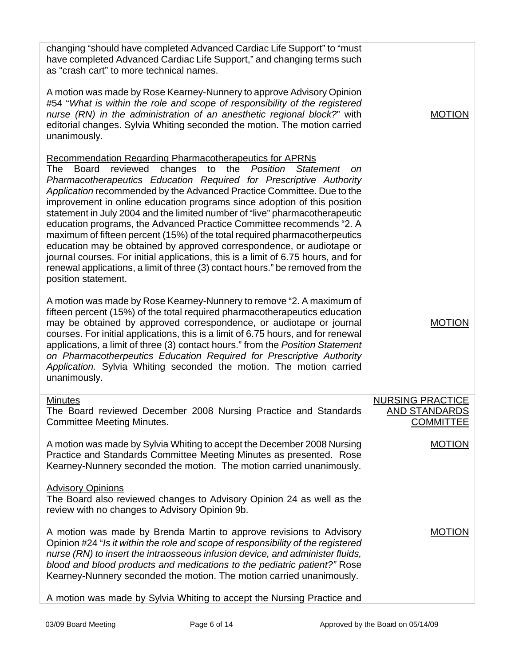| changing "should have completed Advanced Cardiac Life Support" to "must<br>have completed Advanced Cardiac Life Support," and changing terms such<br>as "crash cart" to more technical names.                                                                                                                                                                                                                                                                                                                                                                                                                                                                                                                                                                                                                                                                                                            |                                                              |
|----------------------------------------------------------------------------------------------------------------------------------------------------------------------------------------------------------------------------------------------------------------------------------------------------------------------------------------------------------------------------------------------------------------------------------------------------------------------------------------------------------------------------------------------------------------------------------------------------------------------------------------------------------------------------------------------------------------------------------------------------------------------------------------------------------------------------------------------------------------------------------------------------------|--------------------------------------------------------------|
| A motion was made by Rose Kearney-Nunnery to approve Advisory Opinion<br>#54 "What is within the role and scope of responsibility of the registered<br>nurse (RN) in the administration of an anesthetic regional block?" with<br>editorial changes. Sylvia Whiting seconded the motion. The motion carried<br>unanimously.                                                                                                                                                                                                                                                                                                                                                                                                                                                                                                                                                                              | <b>MOTION</b>                                                |
| <b>Recommendation Regarding Pharmacotherapeutics for APRNs</b><br>The<br>reviewed<br>changes<br>the<br>Position<br><b>Board</b><br>to<br><b>Statement</b><br>on.<br>Pharmacotherapeutics Education Required for Prescriptive Authority<br>Application recommended by the Advanced Practice Committee. Due to the<br>improvement in online education programs since adoption of this position<br>statement in July 2004 and the limited number of "live" pharmacotherapeutic<br>education programs, the Advanced Practice Committee recommends "2. A<br>maximum of fifteen percent (15%) of the total required pharmacotherpeutics<br>education may be obtained by approved correspondence, or audiotape or<br>journal courses. For initial applications, this is a limit of 6.75 hours, and for<br>renewal applications, a limit of three (3) contact hours." be removed from the<br>position statement. |                                                              |
| A motion was made by Rose Kearney-Nunnery to remove "2. A maximum of<br>fifteen percent (15%) of the total required pharmacotherapeutics education<br>may be obtained by approved correspondence, or audiotape or journal<br>courses. For initial applications, this is a limit of 6.75 hours, and for renewal<br>applications, a limit of three (3) contact hours." from the Position Statement<br>on Pharmacotherpeutics Education Required for Prescriptive Authority<br>Application. Sylvia Whiting seconded the motion. The motion carried<br>unanimously.                                                                                                                                                                                                                                                                                                                                          | <b>MOTION</b>                                                |
| <b>Minutes</b><br>The Board reviewed December 2008 Nursing Practice and Standards<br><b>Committee Meeting Minutes.</b>                                                                                                                                                                                                                                                                                                                                                                                                                                                                                                                                                                                                                                                                                                                                                                                   | <b>NURSING PRACTICE</b><br>AND STANDARDS<br><b>COMMITTEE</b> |
| A motion was made by Sylvia Whiting to accept the December 2008 Nursing<br>Practice and Standards Committee Meeting Minutes as presented. Rose<br>Kearney-Nunnery seconded the motion. The motion carried unanimously.                                                                                                                                                                                                                                                                                                                                                                                                                                                                                                                                                                                                                                                                                   | <b>MOTION</b>                                                |
| <b>Advisory Opinions</b><br>The Board also reviewed changes to Advisory Opinion 24 as well as the<br>review with no changes to Advisory Opinion 9b.                                                                                                                                                                                                                                                                                                                                                                                                                                                                                                                                                                                                                                                                                                                                                      |                                                              |
| A motion was made by Brenda Martin to approve revisions to Advisory<br>Opinion #24 "Is it within the role and scope of responsibility of the registered<br>nurse (RN) to insert the intraosseous infusion device, and administer fluids,<br>blood and blood products and medications to the pediatric patient?" Rose<br>Kearney-Nunnery seconded the motion. The motion carried unanimously.                                                                                                                                                                                                                                                                                                                                                                                                                                                                                                             | <b>MOTION</b>                                                |
| A motion was made by Sylvia Whiting to accept the Nursing Practice and                                                                                                                                                                                                                                                                                                                                                                                                                                                                                                                                                                                                                                                                                                                                                                                                                                   |                                                              |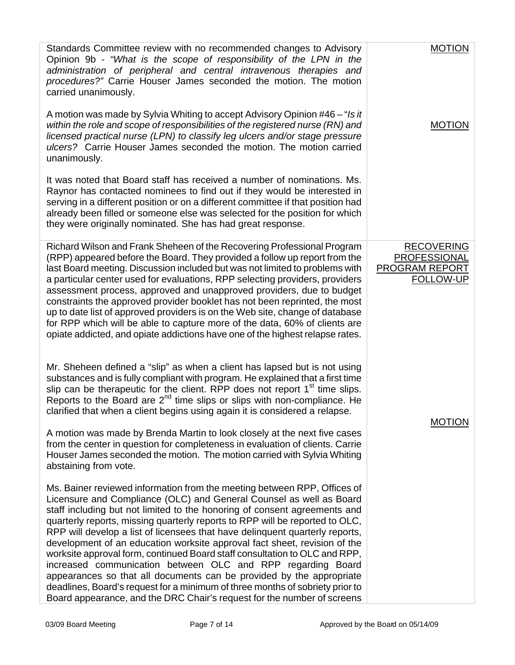| <b>MOTION</b>                                                           | Standards Committee review with no recommended changes to Advisory<br>Opinion 9b - "What is the scope of responsibility of the LPN in the<br>administration of peripheral and central intravenous therapies and<br>procedures?" Carrie Houser James seconded the motion. The motion<br>carried unanimously.                                                                                                                                                                                                                                                                                                                                                                                                                                                                                                                                                                         |
|-------------------------------------------------------------------------|-------------------------------------------------------------------------------------------------------------------------------------------------------------------------------------------------------------------------------------------------------------------------------------------------------------------------------------------------------------------------------------------------------------------------------------------------------------------------------------------------------------------------------------------------------------------------------------------------------------------------------------------------------------------------------------------------------------------------------------------------------------------------------------------------------------------------------------------------------------------------------------|
| <b>MOTION</b>                                                           | A motion was made by Sylvia Whiting to accept Advisory Opinion #46 - "Is it<br>within the role and scope of responsibilities of the registered nurse (RN) and<br>licensed practical nurse (LPN) to classify leg ulcers and/or stage pressure<br>ulcers? Carrie Houser James seconded the motion. The motion carried<br>unanimously.                                                                                                                                                                                                                                                                                                                                                                                                                                                                                                                                                 |
|                                                                         | It was noted that Board staff has received a number of nominations. Ms.<br>Raynor has contacted nominees to find out if they would be interested in<br>serving in a different position or on a different committee if that position had<br>already been filled or someone else was selected for the position for which<br>they were originally nominated. She has had great response.                                                                                                                                                                                                                                                                                                                                                                                                                                                                                               |
| <b>RECOVERING</b><br><b>PROFESSIONAL</b><br>PROGRAM REPORT<br>FOLLOW-UP | Richard Wilson and Frank Sheheen of the Recovering Professional Program<br>(RPP) appeared before the Board. They provided a follow up report from the<br>last Board meeting. Discussion included but was not limited to problems with<br>a particular center used for evaluations, RPP selecting providers, providers<br>assessment process, approved and unapproved providers, due to budget<br>constraints the approved provider booklet has not been reprinted, the most<br>up to date list of approved providers is on the Web site, change of database<br>for RPP which will be able to capture more of the data, 60% of clients are<br>opiate addicted, and opiate addictions have one of the highest relapse rates.                                                                                                                                                          |
| <b>MOTION</b>                                                           | Mr. Sheheen defined a "slip" as when a client has lapsed but is not using<br>substances and is fully compliant with program. He explained that a first time<br>slip can be therapeutic for the client. RPP does not report $1st$ time slips.<br>Reports to the Board are $2^{nd}$ time slips or slips with non-compliance. He<br>clarified that when a client begins using again it is considered a relapse.<br>A motion was made by Brenda Martin to look closely at the next five cases<br>from the center in question for completeness in evaluation of clients. Carrie<br>Houser James seconded the motion. The motion carried with Sylvia Whiting                                                                                                                                                                                                                              |
|                                                                         | abstaining from vote.<br>Ms. Bainer reviewed information from the meeting between RPP, Offices of<br>Licensure and Compliance (OLC) and General Counsel as well as Board<br>staff including but not limited to the honoring of consent agreements and<br>quarterly reports, missing quarterly reports to RPP will be reported to OLC,<br>RPP will develop a list of licensees that have delinquent quarterly reports,<br>development of an education worksite approval fact sheet, revision of the<br>worksite approval form, continued Board staff consultation to OLC and RPP,<br>increased communication between OLC and RPP regarding Board<br>appearances so that all documents can be provided by the appropriate<br>deadlines, Board's request for a minimum of three months of sobriety prior to<br>Board appearance, and the DRC Chair's request for the number of screens |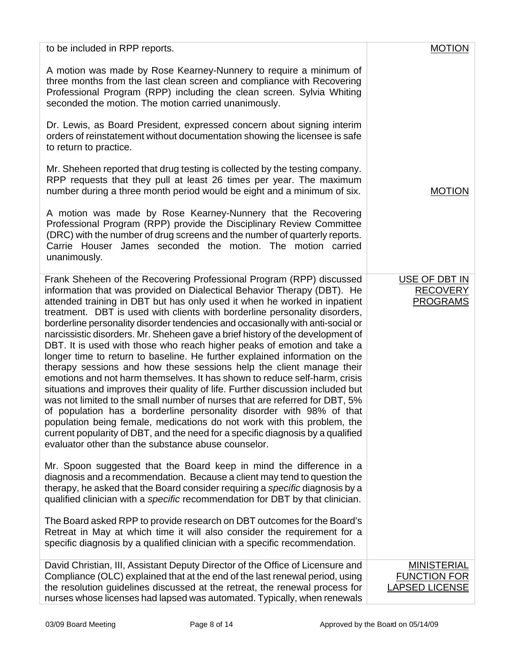| to be included in RPP reports.                                                                                                                                                                                                                                                                                                                                                                                                                                                                                                                                                                                                                                                                                                                                                                                                                                                                                                                                                                                                                                                                                                                                                                                                                                                                                                                                                                                                                                                                                                                                                                                                                                                                                                            | <b>MOTION</b>                                       |
|-------------------------------------------------------------------------------------------------------------------------------------------------------------------------------------------------------------------------------------------------------------------------------------------------------------------------------------------------------------------------------------------------------------------------------------------------------------------------------------------------------------------------------------------------------------------------------------------------------------------------------------------------------------------------------------------------------------------------------------------------------------------------------------------------------------------------------------------------------------------------------------------------------------------------------------------------------------------------------------------------------------------------------------------------------------------------------------------------------------------------------------------------------------------------------------------------------------------------------------------------------------------------------------------------------------------------------------------------------------------------------------------------------------------------------------------------------------------------------------------------------------------------------------------------------------------------------------------------------------------------------------------------------------------------------------------------------------------------------------------|-----------------------------------------------------|
| A motion was made by Rose Kearney-Nunnery to require a minimum of<br>three months from the last clean screen and compliance with Recovering<br>Professional Program (RPP) including the clean screen. Sylvia Whiting<br>seconded the motion. The motion carried unanimously.                                                                                                                                                                                                                                                                                                                                                                                                                                                                                                                                                                                                                                                                                                                                                                                                                                                                                                                                                                                                                                                                                                                                                                                                                                                                                                                                                                                                                                                              |                                                     |
| Dr. Lewis, as Board President, expressed concern about signing interim<br>orders of reinstatement without documentation showing the licensee is safe<br>to return to practice.                                                                                                                                                                                                                                                                                                                                                                                                                                                                                                                                                                                                                                                                                                                                                                                                                                                                                                                                                                                                                                                                                                                                                                                                                                                                                                                                                                                                                                                                                                                                                            |                                                     |
| Mr. Sheheen reported that drug testing is collected by the testing company.<br>RPP requests that they pull at least 26 times per year. The maximum<br>number during a three month period would be eight and a minimum of six.                                                                                                                                                                                                                                                                                                                                                                                                                                                                                                                                                                                                                                                                                                                                                                                                                                                                                                                                                                                                                                                                                                                                                                                                                                                                                                                                                                                                                                                                                                             | <b>MOTION</b>                                       |
| A motion was made by Rose Kearney-Nunnery that the Recovering<br>Professional Program (RPP) provide the Disciplinary Review Committee<br>(DRC) with the number of drug screens and the number of quarterly reports.<br>Carrie Houser James seconded the motion. The motion carried<br>unanimously.                                                                                                                                                                                                                                                                                                                                                                                                                                                                                                                                                                                                                                                                                                                                                                                                                                                                                                                                                                                                                                                                                                                                                                                                                                                                                                                                                                                                                                        |                                                     |
| Frank Sheheen of the Recovering Professional Program (RPP) discussed<br>information that was provided on Dialectical Behavior Therapy (DBT). He<br>attended training in DBT but has only used it when he worked in inpatient<br>treatment. DBT is used with clients with borderline personality disorders,<br>borderline personality disorder tendencies and occasionally with anti-social or<br>narcissistic disorders. Mr. Sheheen gave a brief history of the development of<br>DBT. It is used with those who reach higher peaks of emotion and take a<br>longer time to return to baseline. He further explained information on the<br>therapy sessions and how these sessions help the client manage their<br>emotions and not harm themselves. It has shown to reduce self-harm, crisis<br>situations and improves their quality of life. Further discussion included but<br>was not limited to the small number of nurses that are referred for DBT, 5%<br>of population has a borderline personality disorder with 98% of that<br>population being female, medications do not work with this problem, the<br>current popularity of DBT, and the need for a specific diagnosis by a qualified<br>evaluator other than the substance abuse counselor.<br>Mr. Spoon suggested that the Board keep in mind the difference in a<br>diagnosis and a recommendation. Because a client may tend to question the<br>therapy, he asked that the Board consider requiring a specific diagnosis by a<br>qualified clinician with a specific recommendation for DBT by that clinician.<br>The Board asked RPP to provide research on DBT outcomes for the Board's<br>Retreat in May at which time it will also consider the requirement for a | USE OF DBT IN<br><b>RECOVERY</b><br><b>PROGRAMS</b> |
| specific diagnosis by a qualified clinician with a specific recommendation.<br>David Christian, III, Assistant Deputy Director of the Office of Licensure and<br>Compliance (OLC) explained that at the end of the last renewal period, using                                                                                                                                                                                                                                                                                                                                                                                                                                                                                                                                                                                                                                                                                                                                                                                                                                                                                                                                                                                                                                                                                                                                                                                                                                                                                                                                                                                                                                                                                             | <b>MINISTERIAL</b><br><b>FUNCTION FOR</b>           |
| the resolution guidelines discussed at the retreat, the renewal process for<br>nurses whose licenses had lapsed was automated. Typically, when renewals                                                                                                                                                                                                                                                                                                                                                                                                                                                                                                                                                                                                                                                                                                                                                                                                                                                                                                                                                                                                                                                                                                                                                                                                                                                                                                                                                                                                                                                                                                                                                                                   | <b>LAPSED LICENSE</b>                               |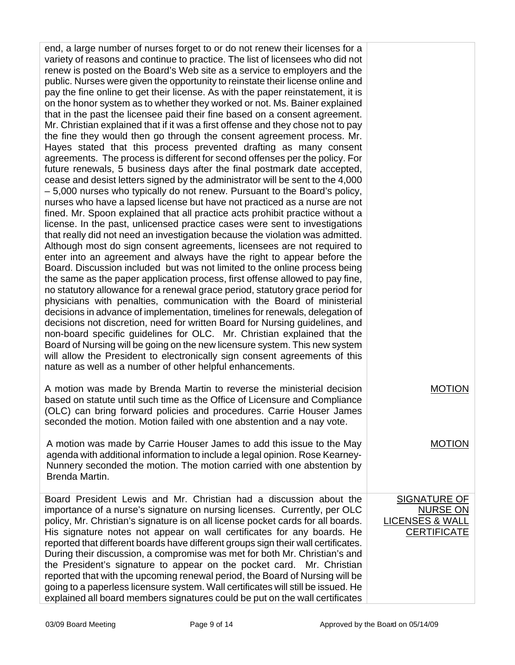| end, a large number of nurses forget to or do not renew their licenses for a<br>variety of reasons and continue to practice. The list of licensees who did not<br>renew is posted on the Board's Web site as a service to employers and the<br>public. Nurses were given the opportunity to reinstate their license online and<br>pay the fine online to get their license. As with the paper reinstatement, it is<br>on the honor system as to whether they worked or not. Ms. Bainer explained<br>that in the past the licensee paid their fine based on a consent agreement.<br>Mr. Christian explained that if it was a first offense and they chose not to pay<br>the fine they would then go through the consent agreement process. Mr.<br>Hayes stated that this process prevented drafting as many consent<br>agreements. The process is different for second offenses per the policy. For<br>future renewals, 5 business days after the final postmark date accepted,<br>cease and desist letters signed by the administrator will be sent to the 4,000<br>- 5,000 nurses who typically do not renew. Pursuant to the Board's policy,<br>nurses who have a lapsed license but have not practiced as a nurse are not<br>fined. Mr. Spoon explained that all practice acts prohibit practice without a<br>license. In the past, unlicensed practice cases were sent to investigations<br>that really did not need an investigation because the violation was admitted.<br>Although most do sign consent agreements, licensees are not required to<br>enter into an agreement and always have the right to appear before the<br>Board. Discussion included but was not limited to the online process being<br>the same as the paper application process, first offense allowed to pay fine,<br>no statutory allowance for a renewal grace period, statutory grace period for<br>physicians with penalties, communication with the Board of ministerial<br>decisions in advance of implementation, timelines for renewals, delegation of<br>decisions not discretion, need for written Board for Nursing guidelines, and<br>non-board specific guidelines for OLC. Mr. Christian explained that the<br>Board of Nursing will be going on the new licensure system. This new system<br>will allow the President to electronically sign consent agreements of this<br>nature as well as a number of other helpful enhancements. |                                                                                            |
|------------------------------------------------------------------------------------------------------------------------------------------------------------------------------------------------------------------------------------------------------------------------------------------------------------------------------------------------------------------------------------------------------------------------------------------------------------------------------------------------------------------------------------------------------------------------------------------------------------------------------------------------------------------------------------------------------------------------------------------------------------------------------------------------------------------------------------------------------------------------------------------------------------------------------------------------------------------------------------------------------------------------------------------------------------------------------------------------------------------------------------------------------------------------------------------------------------------------------------------------------------------------------------------------------------------------------------------------------------------------------------------------------------------------------------------------------------------------------------------------------------------------------------------------------------------------------------------------------------------------------------------------------------------------------------------------------------------------------------------------------------------------------------------------------------------------------------------------------------------------------------------------------------------------------------------------------------------------------------------------------------------------------------------------------------------------------------------------------------------------------------------------------------------------------------------------------------------------------------------------------------------------------------------------------------------------------------------------------------------------------------------------------------------------------------|--------------------------------------------------------------------------------------------|
| A motion was made by Brenda Martin to reverse the ministerial decision<br>based on statute until such time as the Office of Licensure and Compliance<br>(OLC) can bring forward policies and procedures. Carrie Houser James<br>seconded the motion. Motion failed with one abstention and a nay vote.                                                                                                                                                                                                                                                                                                                                                                                                                                                                                                                                                                                                                                                                                                                                                                                                                                                                                                                                                                                                                                                                                                                                                                                                                                                                                                                                                                                                                                                                                                                                                                                                                                                                                                                                                                                                                                                                                                                                                                                                                                                                                                                             | <b>MOTION</b>                                                                              |
| A motion was made by Carrie Houser James to add this issue to the May<br>agenda with additional information to include a legal opinion. Rose Kearney-<br>Nunnery seconded the motion. The motion carried with one abstention by<br>Brenda Martin.                                                                                                                                                                                                                                                                                                                                                                                                                                                                                                                                                                                                                                                                                                                                                                                                                                                                                                                                                                                                                                                                                                                                                                                                                                                                                                                                                                                                                                                                                                                                                                                                                                                                                                                                                                                                                                                                                                                                                                                                                                                                                                                                                                                  | <b>MOTION</b>                                                                              |
| Board President Lewis and Mr. Christian had a discussion about the<br>importance of a nurse's signature on nursing licenses. Currently, per OLC<br>policy, Mr. Christian's signature is on all license pocket cards for all boards.<br>His signature notes not appear on wall certificates for any boards. He<br>reported that different boards have different groups sign their wall certificates.<br>During their discussion, a compromise was met for both Mr. Christian's and<br>the President's signature to appear on the pocket card. Mr. Christian<br>reported that with the upcoming renewal period, the Board of Nursing will be<br>going to a paperless licensure system. Wall certificates will still be issued. He<br>explained all board members signatures could be put on the wall certificates                                                                                                                                                                                                                                                                                                                                                                                                                                                                                                                                                                                                                                                                                                                                                                                                                                                                                                                                                                                                                                                                                                                                                                                                                                                                                                                                                                                                                                                                                                                                                                                                                    | <b>SIGNATURE OF</b><br><b>NURSE ON</b><br><b>LICENSES &amp; WALL</b><br><b>CERTIFICATE</b> |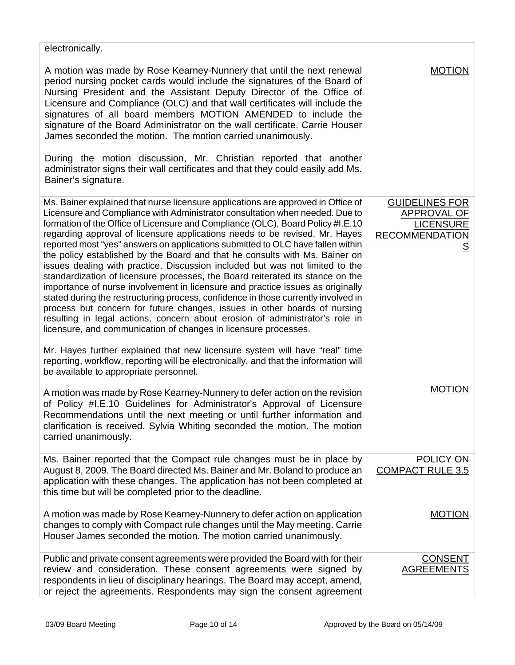| electronically.                                                                                                                                                                                                                                                                                                                                                                                                                                                                                                                                                                                                                                                                                                                                                                                                                                                                                            |                                                |
|------------------------------------------------------------------------------------------------------------------------------------------------------------------------------------------------------------------------------------------------------------------------------------------------------------------------------------------------------------------------------------------------------------------------------------------------------------------------------------------------------------------------------------------------------------------------------------------------------------------------------------------------------------------------------------------------------------------------------------------------------------------------------------------------------------------------------------------------------------------------------------------------------------|------------------------------------------------|
| A motion was made by Rose Kearney-Nunnery that until the next renewal<br>period nursing pocket cards would include the signatures of the Board of<br>Nursing President and the Assistant Deputy Director of the Office of<br>Licensure and Compliance (OLC) and that wall certificates will include the<br>signatures of all board members MOTION AMENDED to include the<br>signature of the Board Administrator on the wall certificate. Carrie Houser<br>James seconded the motion. The motion carried unanimously.<br>During the motion discussion, Mr. Christian reported that another<br>administrator signs their wall certificates and that they could easily add Ms.<br>Bainer's signature.                                                                                                                                                                                                        | <b>MOTION</b>                                  |
| Ms. Bainer explained that nurse licensure applications are approved in Office of<br>Licensure and Compliance with Administrator consultation when needed. Due to                                                                                                                                                                                                                                                                                                                                                                                                                                                                                                                                                                                                                                                                                                                                           | <b>GUIDELINES FOR</b><br>APPROVAL OF           |
| formation of the Office of Licensure and Compliance (OLC), Board Policy #I.E.10<br>regarding approval of licensure applications needs to be revised. Mr. Hayes<br>reported most "yes" answers on applications submitted to OLC have fallen within<br>the policy established by the Board and that he consults with Ms. Bainer on<br>issues dealing with practice. Discussion included but was not limited to the<br>standardization of licensure processes, the Board reiterated its stance on the<br>importance of nurse involvement in licensure and practice issues as originally<br>stated during the restructuring process, confidence in those currently involved in<br>process but concern for future changes, issues in other boards of nursing<br>resulting in legal actions, concern about erosion of administrator's role in<br>licensure, and communication of changes in licensure processes. | <b>LICENSURE</b><br><b>RECOMMENDATION</b><br>S |
| Mr. Hayes further explained that new licensure system will have "real" time<br>reporting, workflow, reporting will be electronically, and that the information will<br>be available to appropriate personnel.                                                                                                                                                                                                                                                                                                                                                                                                                                                                                                                                                                                                                                                                                              |                                                |
| A motion was made by Rose Kearney-Nunnery to defer action on the revision<br>of Policy #I.E.10 Guidelines for Administrator's Approval of Licensure<br>Recommendations until the next meeting or until further information and<br>clarification is received. Sylvia Whiting seconded the motion. The motion<br>carried unanimously.                                                                                                                                                                                                                                                                                                                                                                                                                                                                                                                                                                        | <b>MOTION</b>                                  |
| Ms. Bainer reported that the Compact rule changes must be in place by<br>August 8, 2009. The Board directed Ms. Bainer and Mr. Boland to produce an<br>application with these changes. The application has not been completed at<br>this time but will be completed prior to the deadline.                                                                                                                                                                                                                                                                                                                                                                                                                                                                                                                                                                                                                 | <b>POLICY ON</b><br><b>COMPACT RULE 3.5</b>    |
| A motion was made by Rose Kearney-Nunnery to defer action on application<br>changes to comply with Compact rule changes until the May meeting. Carrie<br>Houser James seconded the motion. The motion carried unanimously.                                                                                                                                                                                                                                                                                                                                                                                                                                                                                                                                                                                                                                                                                 | <b>MOTION</b>                                  |
| Public and private consent agreements were provided the Board with for their<br>review and consideration. These consent agreements were signed by<br>respondents in lieu of disciplinary hearings. The Board may accept, amend,<br>or reject the agreements. Respondents may sign the consent agreement                                                                                                                                                                                                                                                                                                                                                                                                                                                                                                                                                                                                    | <b>CONSENT</b><br><b>AGREEMENTS</b>            |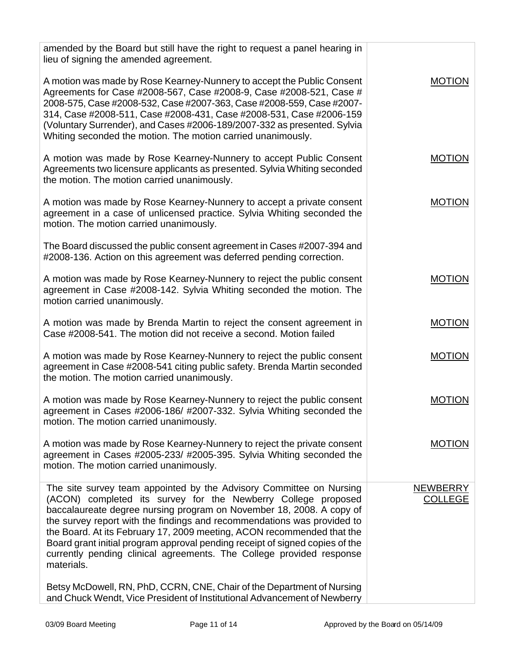| amended by the Board but still have the right to request a panel hearing in<br>lieu of signing the amended agreement.                                                                                                                                                                                                                                                                                                                                                                                                                                                                                             |                                   |
|-------------------------------------------------------------------------------------------------------------------------------------------------------------------------------------------------------------------------------------------------------------------------------------------------------------------------------------------------------------------------------------------------------------------------------------------------------------------------------------------------------------------------------------------------------------------------------------------------------------------|-----------------------------------|
| A motion was made by Rose Kearney-Nunnery to accept the Public Consent<br>Agreements for Case #2008-567, Case #2008-9, Case #2008-521, Case #<br>2008-575, Case #2008-532, Case #2007-363, Case #2008-559, Case #2007-<br>314, Case #2008-511, Case #2008-431, Case #2008-531, Case #2006-159<br>(Voluntary Surrender), and Cases #2006-189/2007-332 as presented. Sylvia<br>Whiting seconded the motion. The motion carried unanimously.                                                                                                                                                                         | <b>MOTION</b>                     |
| A motion was made by Rose Kearney-Nunnery to accept Public Consent<br>Agreements two licensure applicants as presented. Sylvia Whiting seconded<br>the motion. The motion carried unanimously.                                                                                                                                                                                                                                                                                                                                                                                                                    | <b>MOTION</b>                     |
| A motion was made by Rose Kearney-Nunnery to accept a private consent<br>agreement in a case of unlicensed practice. Sylvia Whiting seconded the<br>motion. The motion carried unanimously.                                                                                                                                                                                                                                                                                                                                                                                                                       | <b>MOTION</b>                     |
| The Board discussed the public consent agreement in Cases #2007-394 and<br>#2008-136. Action on this agreement was deferred pending correction.                                                                                                                                                                                                                                                                                                                                                                                                                                                                   |                                   |
| A motion was made by Rose Kearney-Nunnery to reject the public consent<br>agreement in Case #2008-142. Sylvia Whiting seconded the motion. The<br>motion carried unanimously.                                                                                                                                                                                                                                                                                                                                                                                                                                     | <b>MOTION</b>                     |
| A motion was made by Brenda Martin to reject the consent agreement in<br>Case #2008-541. The motion did not receive a second. Motion failed                                                                                                                                                                                                                                                                                                                                                                                                                                                                       | <b>MOTION</b>                     |
| A motion was made by Rose Kearney-Nunnery to reject the public consent<br>agreement in Case #2008-541 citing public safety. Brenda Martin seconded<br>the motion. The motion carried unanimously.                                                                                                                                                                                                                                                                                                                                                                                                                 | <b>MOTION</b>                     |
| A motion was made by Rose Kearney-Nunnery to reject the public consent<br>agreement in Cases #2006-186/ #2007-332. Sylvia Whiting seconded the<br>motion. The motion carried unanimously.                                                                                                                                                                                                                                                                                                                                                                                                                         | <b>MOTION</b>                     |
| A motion was made by Rose Kearney-Nunnery to reject the private consent<br>agreement in Cases #2005-233/ #2005-395. Sylvia Whiting seconded the<br>motion. The motion carried unanimously.                                                                                                                                                                                                                                                                                                                                                                                                                        | <b>MOTION</b>                     |
| The site survey team appointed by the Advisory Committee on Nursing<br>(ACON) completed its survey for the Newberry College proposed<br>baccalaureate degree nursing program on November 18, 2008. A copy of<br>the survey report with the findings and recommendations was provided to<br>the Board. At its February 17, 2009 meeting, ACON recommended that the<br>Board grant initial program approval pending receipt of signed copies of the<br>currently pending clinical agreements. The College provided response<br>materials.<br>Betsy McDowell, RN, PhD, CCRN, CNE, Chair of the Department of Nursing | <b>NEWBERRY</b><br><b>COLLEGE</b> |
| and Chuck Wendt, Vice President of Institutional Advancement of Newberry                                                                                                                                                                                                                                                                                                                                                                                                                                                                                                                                          |                                   |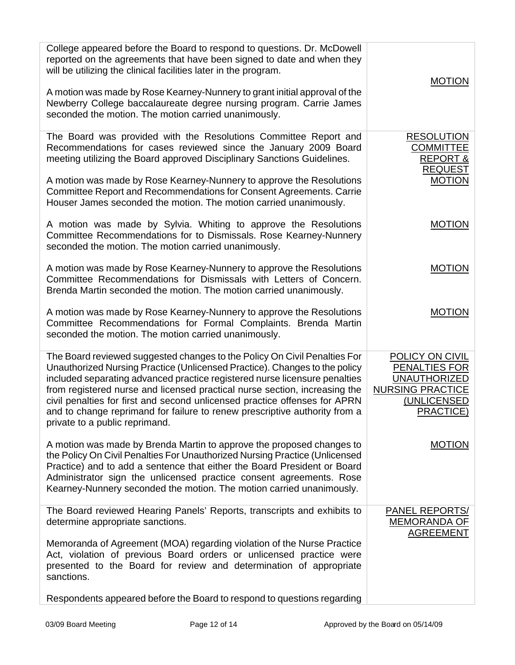| College appeared before the Board to respond to questions. Dr. McDowell<br>reported on the agreements that have been signed to date and when they<br>will be utilizing the clinical facilities later in the program.<br>A motion was made by Rose Kearney-Nunnery to grant initial approval of the<br>Newberry College baccalaureate degree nursing program. Carrie James<br>seconded the motion. The motion carried unanimously.                                                                                 | <b>MOTION</b>                                                                                                  |
|-------------------------------------------------------------------------------------------------------------------------------------------------------------------------------------------------------------------------------------------------------------------------------------------------------------------------------------------------------------------------------------------------------------------------------------------------------------------------------------------------------------------|----------------------------------------------------------------------------------------------------------------|
| The Board was provided with the Resolutions Committee Report and<br>Recommendations for cases reviewed since the January 2009 Board<br>meeting utilizing the Board approved Disciplinary Sanctions Guidelines.                                                                                                                                                                                                                                                                                                    | <b>RESOLUTION</b><br><b>COMMITTEE</b><br><b>REPORT &amp;</b><br><b>REQUEST</b>                                 |
| A motion was made by Rose Kearney-Nunnery to approve the Resolutions<br>Committee Report and Recommendations for Consent Agreements. Carrie<br>Houser James seconded the motion. The motion carried unanimously.                                                                                                                                                                                                                                                                                                  | <b>MOTION</b>                                                                                                  |
| A motion was made by Sylvia. Whiting to approve the Resolutions<br>Committee Recommendations for to Dismissals. Rose Kearney-Nunnery<br>seconded the motion. The motion carried unanimously.                                                                                                                                                                                                                                                                                                                      | <b>MOTION</b>                                                                                                  |
| A motion was made by Rose Kearney-Nunnery to approve the Resolutions<br>Committee Recommendations for Dismissals with Letters of Concern.<br>Brenda Martin seconded the motion. The motion carried unanimously.                                                                                                                                                                                                                                                                                                   | <b>MOTION</b>                                                                                                  |
| A motion was made by Rose Kearney-Nunnery to approve the Resolutions<br>Committee Recommendations for Formal Complaints. Brenda Martin<br>seconded the motion. The motion carried unanimously.                                                                                                                                                                                                                                                                                                                    | <b>MOTION</b>                                                                                                  |
| The Board reviewed suggested changes to the Policy On Civil Penalties For<br>Unauthorized Nursing Practice (Unlicensed Practice). Changes to the policy<br>included separating advanced practice registered nurse licensure penalties<br>from registered nurse and licensed practical nurse section, increasing the<br>civil penalties for first and second unlicensed practice offenses for APRN<br>and to change reprimand for failure to renew prescriptive authority from a<br>private to a public reprimand. | <b>POLICY ON CIVIL</b><br>PENALTIES FOR<br><b>UNAUTHORIZED</b><br>NURSING PRACTICE<br>(UNLICENSED<br>PRACTICE) |
| A motion was made by Brenda Martin to approve the proposed changes to<br>the Policy On Civil Penalties For Unauthorized Nursing Practice (Unlicensed<br>Practice) and to add a sentence that either the Board President or Board<br>Administrator sign the unlicensed practice consent agreements. Rose<br>Kearney-Nunnery seconded the motion. The motion carried unanimously.                                                                                                                                   | <b>MOTION</b>                                                                                                  |
| The Board reviewed Hearing Panels' Reports, transcripts and exhibits to<br>determine appropriate sanctions.                                                                                                                                                                                                                                                                                                                                                                                                       | <b>PANEL REPORTS/</b><br><b>MEMORANDA OF</b>                                                                   |
| Memoranda of Agreement (MOA) regarding violation of the Nurse Practice<br>Act, violation of previous Board orders or unlicensed practice were<br>presented to the Board for review and determination of appropriate<br>sanctions.                                                                                                                                                                                                                                                                                 | <b>AGREEMENT</b>                                                                                               |
| Respondents appeared before the Board to respond to questions regarding                                                                                                                                                                                                                                                                                                                                                                                                                                           |                                                                                                                |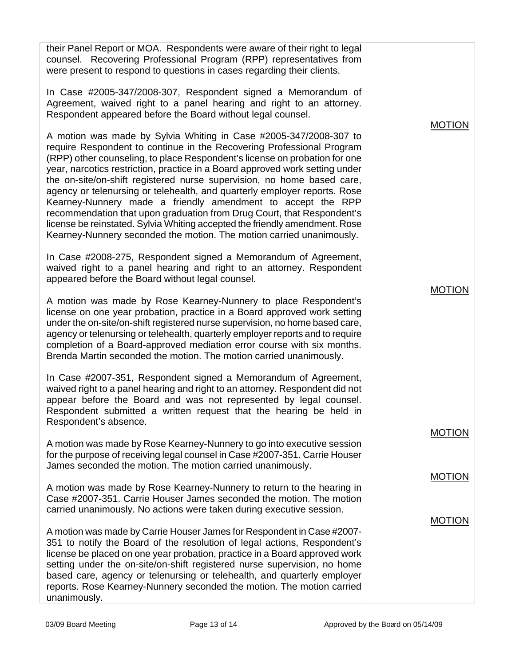| their Panel Report or MOA. Respondents were aware of their right to legal<br>counsel. Recovering Professional Program (RPP) representatives from<br>were present to respond to questions in cases regarding their clients.<br>In Case #2005-347/2008-307, Respondent signed a Memorandum of<br>Agreement, waived right to a panel hearing and right to an attorney.                                                                                                                                                                                                                                                                                                                                                                                                                                                            |               |
|--------------------------------------------------------------------------------------------------------------------------------------------------------------------------------------------------------------------------------------------------------------------------------------------------------------------------------------------------------------------------------------------------------------------------------------------------------------------------------------------------------------------------------------------------------------------------------------------------------------------------------------------------------------------------------------------------------------------------------------------------------------------------------------------------------------------------------|---------------|
| Respondent appeared before the Board without legal counsel.<br>A motion was made by Sylvia Whiting in Case #2005-347/2008-307 to<br>require Respondent to continue in the Recovering Professional Program<br>(RPP) other counseling, to place Respondent's license on probation for one<br>year, narcotics restriction, practice in a Board approved work setting under<br>the on-site/on-shift registered nurse supervision, no home based care,<br>agency or telenursing or telehealth, and quarterly employer reports. Rose<br>Kearney-Nunnery made a friendly amendment to accept the RPP<br>recommendation that upon graduation from Drug Court, that Respondent's<br>license be reinstated. Sylvia Whiting accepted the friendly amendment. Rose<br>Kearney-Nunnery seconded the motion. The motion carried unanimously. | <b>MOTION</b> |
| In Case #2008-275, Respondent signed a Memorandum of Agreement,<br>waived right to a panel hearing and right to an attorney. Respondent<br>appeared before the Board without legal counsel.                                                                                                                                                                                                                                                                                                                                                                                                                                                                                                                                                                                                                                    | <b>MOTION</b> |
| A motion was made by Rose Kearney-Nunnery to place Respondent's<br>license on one year probation, practice in a Board approved work setting<br>under the on-site/on-shift registered nurse supervision, no home based care,<br>agency or telenursing or telehealth, quarterly employer reports and to require<br>completion of a Board-approved mediation error course with six months.<br>Brenda Martin seconded the motion. The motion carried unanimously.                                                                                                                                                                                                                                                                                                                                                                  |               |
| In Case #2007-351, Respondent signed a Memorandum of Agreement,<br>waived right to a panel hearing and right to an attorney. Respondent did not<br>appear before the Board and was not represented by legal counsel.<br>Respondent submitted a written request that the hearing be held in<br>Respondent's absence.                                                                                                                                                                                                                                                                                                                                                                                                                                                                                                            |               |
| A motion was made by Rose Kearney-Nunnery to go into executive session<br>for the purpose of receiving legal counsel in Case #2007-351. Carrie Houser<br>James seconded the motion. The motion carried unanimously.                                                                                                                                                                                                                                                                                                                                                                                                                                                                                                                                                                                                            | <b>MOTION</b> |
| A motion was made by Rose Kearney-Nunnery to return to the hearing in<br>Case #2007-351. Carrie Houser James seconded the motion. The motion<br>carried unanimously. No actions were taken during executive session.                                                                                                                                                                                                                                                                                                                                                                                                                                                                                                                                                                                                           | <b>MOTION</b> |
| A motion was made by Carrie Houser James for Respondent in Case #2007-<br>351 to notify the Board of the resolution of legal actions, Respondent's<br>license be placed on one year probation, practice in a Board approved work<br>setting under the on-site/on-shift registered nurse supervision, no home<br>based care, agency or telenursing or telehealth, and quarterly employer<br>reports. Rose Kearney-Nunnery seconded the motion. The motion carried<br>unanimously.                                                                                                                                                                                                                                                                                                                                               | <b>MOTION</b> |